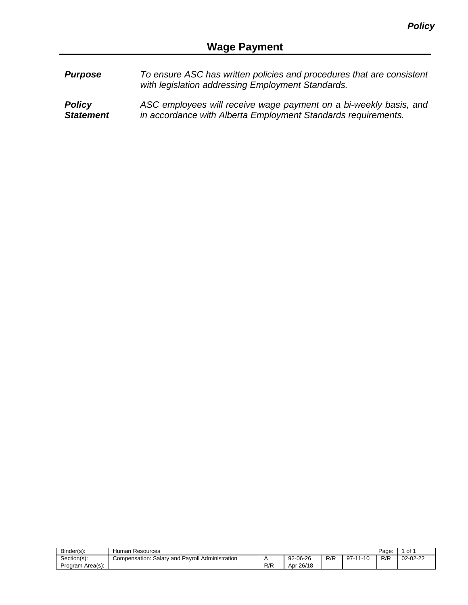| <b>Purpose</b> | To ensure ASC has written policies and procedures that are consistent |
|----------------|-----------------------------------------------------------------------|
|                | with legislation addressing Employment Standards.                     |
|                |                                                                       |

*Policy Statement ASC employees will receive wage payment on a bi-weekly basis, and in accordance with Alberta Employment Standards requirements.*

| Binder(s):             | Human<br>Resources                                             |     |           |     |                     | Page | 0f       |
|------------------------|----------------------------------------------------------------|-----|-----------|-----|---------------------|------|----------|
| Section(s):            | I Pavroll Administration<br>∴oalar ∆<br>' and<br>Compensation: |     | 92-06-26  | R/R | $97 -$<br>.111<br>. | R/K  | 02-02-22 |
| : Area(s) ו<br>Program |                                                                | R/R | Apr 26/18 |     |                     |      |          |